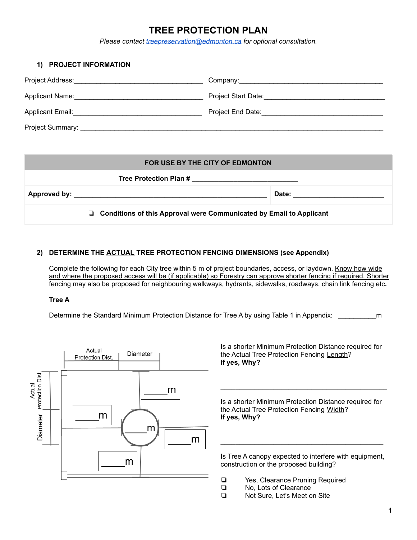# **TREE PROTECTION PLAN**

*Please contact [treepreservation@edmonton.ca](mailto:treepreservation@edmonton.ca) for optional consultation.*

| <b>PROJECT INFORMATION</b>                                                                                                                                                                                                     |                                                                                                                                                                                                                                |
|--------------------------------------------------------------------------------------------------------------------------------------------------------------------------------------------------------------------------------|--------------------------------------------------------------------------------------------------------------------------------------------------------------------------------------------------------------------------------|
|                                                                                                                                                                                                                                |                                                                                                                                                                                                                                |
| Applicant Name: Mannell Applicant Name: Management Applicant Name: Management Applicant Applicant Applicant Applicant Applicant Applicant Applicant Applicant Applicant Applicant Applicant Applicant Applicant Applicant Appl | Project Start Date: The Contract of Start Date:                                                                                                                                                                                |
|                                                                                                                                                                                                                                | Project End Date: The Contract of the Contract of the Contract of the Contract of the Contract of the Contract of the Contract of the Contract of the Contract of the Contract of the Contract of the Contract of the Contract |
| Project Summary:                                                                                                                                                                                                               |                                                                                                                                                                                                                                |

#### **FOR USE BY THE CITY OF EDMONTON**

|                                                                       | Tree Protection Plan # | the control of the control of the control of the control of the control of                                                                                                                                                     |  |
|-----------------------------------------------------------------------|------------------------|--------------------------------------------------------------------------------------------------------------------------------------------------------------------------------------------------------------------------------|--|
|                                                                       |                        | Date: the contract of the contract of the contract of the contract of the contract of the contract of the contract of the contract of the contract of the contract of the contract of the contract of the contract of the cont |  |
| □ Conditions of this Approval were Communicated by Email to Applicant |                        |                                                                                                                                                                                                                                |  |

### **2) DETERMINE THE ACTUAL TREE PROTECTION FENCING DIMENSIONS (see Appendix)**

Complete the following for each City tree within 5 m of project boundaries, access, or laydown. Know how wide and where the proposed access will be (if applicable) so Forestry can approve shorter fencing if required. Shorter fencing may also be proposed for neighbouring walkways, hydrants, sidewalks, roadways, chain link fencing etc**.**

#### **Tree A**

Determine the Standard Minimum Protection Distance for Tree A by using Table 1 in Appendix: m



Is a shorter Minimum Protection Distance required for the Actual Tree Protection Fencing Length? **If yes, Why?**

Is a shorter Minimum Protection Distance required for the Actual Tree Protection Fencing Width? **If yes, Why?**

**\_\_\_\_\_\_\_\_\_\_\_\_\_\_\_\_\_\_\_\_\_\_\_\_\_\_\_\_\_\_\_\_\_\_\_\_\_\_\_\_\_\_\_\_**

Is Tree A canopy expected to interfere with equipment, construction or the proposed building?

**\_\_\_\_\_\_\_\_\_\_\_\_\_\_\_\_\_\_\_\_\_\_\_\_\_\_\_\_\_\_\_\_\_\_\_\_\_\_\_\_\_\_\_**

- ❏ Yes, Clearance Pruning Required
- ❏ No, Lots of Clearance
- ❏ Not Sure, Let's Meet on Site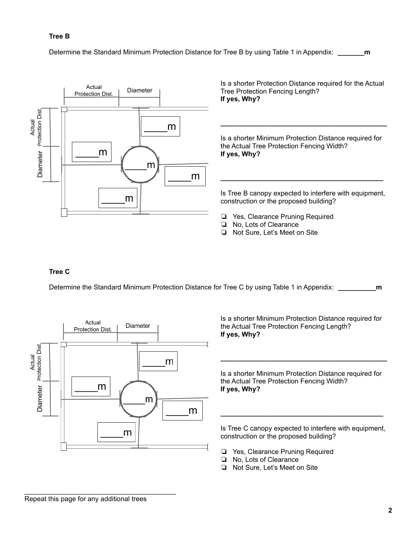### **Tree B**

Determine the Standard Minimum Protection Distance for Tree B by using Table 1 in Appendix: **\_\_\_\_\_\_\_m**



Is a shorter Protection Distance required for the Actual Tree Protection Fencing Length? **If yes, Why?**

Is a shorter Minimum Protection Distance required for the Actual Tree Protection Fencing Width? **If yes, Why?**

**\_\_\_\_\_\_\_\_\_\_\_\_\_\_\_\_\_\_\_\_\_\_\_\_\_\_\_\_\_\_\_\_\_\_\_\_\_\_\_\_\_\_\_\_**

Is Tree B canopy expected to interfere with equipment, construction or the proposed building?

**\_\_\_\_\_\_\_\_\_\_\_\_\_\_\_\_\_\_\_\_\_\_\_\_\_\_\_\_\_\_\_\_\_\_\_\_\_\_\_\_\_\_\_**

- ❏ Yes, Clearance Pruning Required
- ❏ No, Lots of Clearance
- ❏ Not Sure, Let's Meet on Site

### **Tree C**

Determine the Standard Minimum Protection Distance for Tree C by using Table 1 in Appendix: **\_\_\_\_\_\_\_\_\_\_m**



Is a shorter Minimum Protection Distance required for the Actual Tree Protection Fencing Length? **If yes, Why?**

Is a shorter Minimum Protection Distance required for the Actual Tree Protection Fencing Width? **If yes, Why?**

**\_\_\_\_\_\_\_\_\_\_\_\_\_\_\_\_\_\_\_\_\_\_\_\_\_\_\_\_\_\_\_\_\_\_\_\_\_\_\_\_\_\_\_\_**

Is Tree C canopy expected to interfere with equipment, construction or the proposed building?

**\_\_\_\_\_\_\_\_\_\_\_\_\_\_\_\_\_\_\_\_\_\_\_\_\_\_\_\_\_\_\_\_\_\_\_\_\_\_\_\_\_\_\_**

- ❏ Yes, Clearance Pruning Required
- ❏ No, Lots of Clearance
- ❏ Not Sure, Let's Meet on Site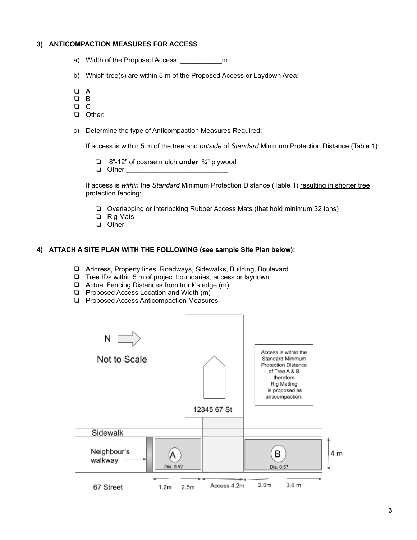#### **3) ANTICOMPACTION MEASURES FOR ACCESS**

- a) Width of the Proposed Access: \_\_\_\_\_\_\_\_\_\_\_m.
- b) Which tree(s) are within 5 m of the Proposed Access or Laydown Area:
- ❏ A
- ❏ B
- ❏ C
- $\Box$  Other:
- c) Determine the type of Anticompaction Measures Required:

If access is within 5 m of the tree and *outside* of *Standard* Minimum Protection Distance (Table 1):

- ❏ 8"-12" of coarse mulch **under** ¾" plywood
- ❏ Other:\_\_\_\_\_\_\_\_\_\_\_\_\_\_\_\_\_\_\_\_\_\_\_\_\_\_\_

If access is *within* the *Standard* Minimum Protection Distance (Table 1) resulting in shorter tree protection fencing:

- ❏ Overlapping or interlocking Rubber Access Mats (that hold minimum 32 tons)
- ❏ Rig Mats
- ❏ Other: \_\_\_\_\_\_\_\_\_\_\_\_\_\_\_\_\_\_\_\_\_\_\_\_\_\_

#### **4) ATTACH A SITE PLAN WITH THE FOLLOWING (see sample Site Plan below):**

- ❏ Address, Property lines, Roadways, Sidewalks, Building, Boulevard
- ❏ Tree IDs within 5 m of project boundaries, access or laydown
- ❏ Actual Fencing Distances from trunk's edge (m)
- ❏ Proposed Access Location and Width (m)
- ❏ Proposed Access Anticompaction Measures

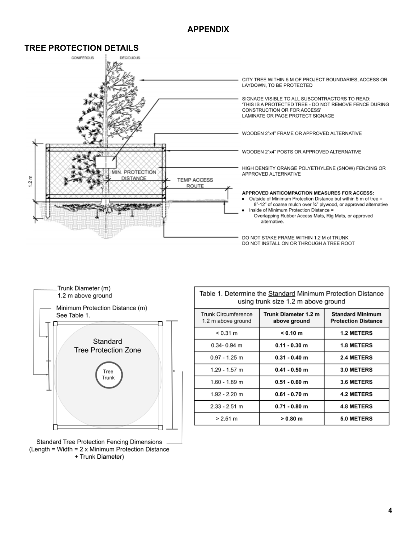## **APPENDIX**







**Standard Tree Protection Fencing Dimensions** (Length = Width =  $2 \times$  Minimum Protection Distance + Trunk Diameter)

| Table 1. Determine the Standard Minimum Protection Distance<br>using trunk size 1.2 m above ground |                                      |                                                       |  |
|----------------------------------------------------------------------------------------------------|--------------------------------------|-------------------------------------------------------|--|
| Trunk Circumference<br>1.2 m above ground                                                          | Trunk Diameter 1.2 m<br>above ground | <b>Standard Minimum</b><br><b>Protection Distance</b> |  |
| $< 0.31 \text{ m}$                                                                                 | < 0.10 m                             | <b>1.2 METERS</b>                                     |  |
| $0.34 - 0.94$ m                                                                                    | $0.11 - 0.30$ m                      | <b>1.8 METERS</b>                                     |  |
| $0.97 - 1.25$ m                                                                                    | $0.31 - 0.40$ m                      | 2.4 METERS                                            |  |
| $1.29 - 1.57$ m                                                                                    | $0.41 - 0.50$ m                      | 3.0 METERS                                            |  |
| $1.60 - 1.89$ m                                                                                    | $0.51 - 0.60$ m                      | 3.6 METERS                                            |  |
| $1.92 - 2.20$ m                                                                                    | $0.61 - 0.70$ m                      | <b>4.2 METERS</b>                                     |  |
| $2.33 - 2.51$ m                                                                                    | $0.71 - 0.80$ m                      | <b>4.8 METERS</b>                                     |  |
| $> 2.51 \text{ m}$                                                                                 | $> 0.80$ m                           | 5.0 METERS                                            |  |